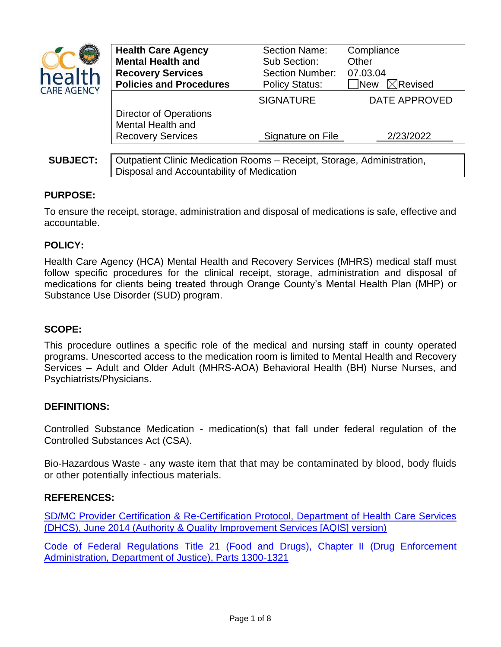| health<br><b>CARE AGENCY</b> | <b>Health Care Agency</b><br><b>Mental Health and</b><br><b>Recovery Services</b><br><b>Policies and Procedures</b> | Section Name:<br>Sub Section:<br><b>Section Number:</b><br><b>Policy Status:</b> | Compliance<br>Other<br>07.03.04<br>$\boxtimes$ Revised<br><b>New</b> |
|------------------------------|---------------------------------------------------------------------------------------------------------------------|----------------------------------------------------------------------------------|----------------------------------------------------------------------|
|                              |                                                                                                                     | <b>SIGNATURE</b>                                                                 | DATE APPROVED                                                        |
|                              | <b>Director of Operations</b><br>Mental Health and<br><b>Recovery Services</b>                                      | Signature on File                                                                | 2/23/2022                                                            |
|                              |                                                                                                                     |                                                                                  |                                                                      |
| <b>SUBJECT:</b>              | Outpatient Clinic Medication Rooms - Receipt, Storage, Administration,<br>Disposal and Accountability of Medication |                                                                                  |                                                                      |

# **PURPOSE:**

To ensure the receipt, storage, administration and disposal of medications is safe, effective and accountable.

### **POLICY:**

Health Care Agency (HCA) Mental Health and Recovery Services (MHRS) medical staff must follow specific procedures for the clinical receipt, storage, administration and disposal of medications for clients being treated through Orange County's Mental Health Plan (MHP) or Substance Use Disorder (SUD) program.

### **SCOPE:**

This procedure outlines a specific role of the medical and nursing staff in county operated programs. Unescorted access to the medication room is limited to Mental Health and Recovery Services – Adult and Older Adult (MHRS-AOA) Behavioral Health (BH) Nurse Nurses, and Psychiatrists/Physicians.

### **DEFINITIONS:**

Controlled Substance Medication - medication(s) that fall under federal regulation of the Controlled Substances Act (CSA).

Bio-Hazardous Waste - any waste item that that may be contaminated by blood, body fluids or other potentially infectious materials.

### **REFERENCES:**

[SD/MC Provider Certification & Re-Certification Protocol,](http://www.ochealthinfo.com/civicax/filebank/blobdload.aspx?BlobID=61284) Department of Health Care Services [\(DHCS\), June 2014 \(Authority & Quality Improvement Services \[AQIS\] version\)](http://www.ochealthinfo.com/civicax/filebank/blobdload.aspx?BlobID=61284)

[Code of Federal Regulations Title 21 \(Food and Drugs\), Chapter II \(Drug Enforcement](https://www.ecfr.gov/current/title-21/chapter-II)  [Administration, Department of Justice\), Parts 1300-1321](https://www.ecfr.gov/current/title-21/chapter-II)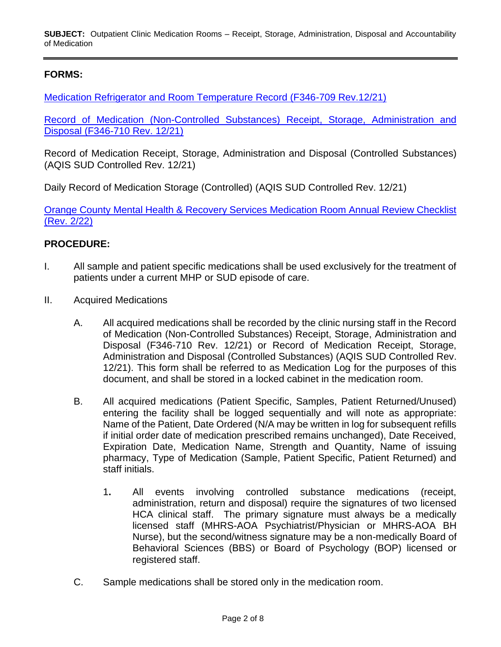**SUBJECT:** Outpatient Clinic Medication Rooms – Receipt, Storage, Administration, Disposal and Accountability of Medication

# **FORMS:**

[Medication Refrigerator and Room Temperature Record \(F346-709 Rev.12/21\)](http://www.ochealthinfo.com/bhs/about/cys/support/certification) 

Record of Medication (Non-Controlled [Substances\) Receipt, Storage, Administration and](http://www.ochealthinfo.com/bhs/about/cys/support/certification)  [Disposal \(F346-710 Rev.](http://www.ochealthinfo.com/bhs/about/cys/support/certification) 12/21)

Record of Medication Receipt, Storage, Administration and Disposal (Controlled Substances) (AQIS SUD Controlled Rev. 12/21)

Daily Record of Medication Storage (Controlled) (AQIS SUD Controlled Rev. 12/21)

[Orange County Mental Health & Recovery Services](http://www.ochealthinfo.com/bhs/about/cys/support/certification) Medication Room Annual Review Checklist [\(Rev. 2/22\)](http://www.ochealthinfo.com/bhs/about/cys/support/certification)

#### **PROCEDURE:**

- I. All sample and patient specific medications shall be used exclusively for the treatment of patients under a current MHP or SUD episode of care.
- II. Acquired Medications
	- A. All acquired medications shall be recorded by the clinic nursing staff in the Record of Medication (Non-Controlled Substances) Receipt, Storage, Administration and Disposal (F346-710 Rev. 12/21) or Record of Medication Receipt, Storage, Administration and Disposal (Controlled Substances) (AQIS SUD Controlled Rev. 12/21). This form shall be referred to as Medication Log for the purposes of this document, and shall be stored in a locked cabinet in the medication room.
	- B. All acquired medications (Patient Specific, Samples, Patient Returned/Unused) entering the facility shall be logged sequentially and will note as appropriate: Name of the Patient, Date Ordered (N/A may be written in log for subsequent refills if initial order date of medication prescribed remains unchanged), Date Received, Expiration Date, Medication Name, Strength and Quantity, Name of issuing pharmacy, Type of Medication (Sample, Patient Specific, Patient Returned) and staff initials.
		- 1**.** All events involving controlled substance medications (receipt, administration, return and disposal) require the signatures of two licensed HCA clinical staff. The primary signature must always be a medically licensed staff (MHRS-AOA Psychiatrist/Physician or MHRS-AOA BH Nurse), but the second/witness signature may be a non-medically Board of Behavioral Sciences (BBS) or Board of Psychology (BOP) licensed or registered staff.
	- C. Sample medications shall be stored only in the medication room.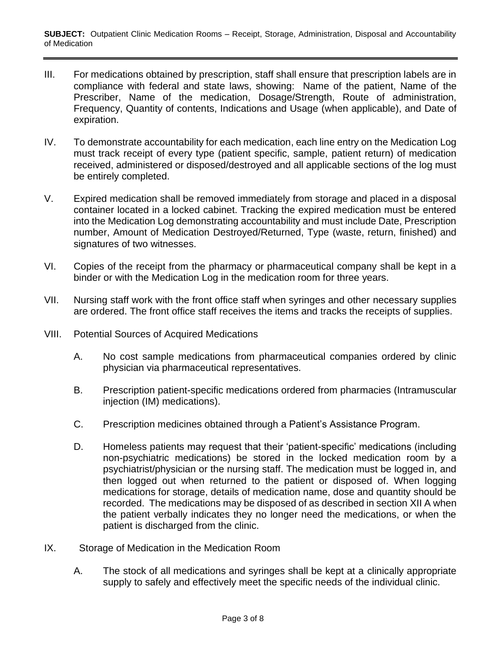- III. For medications obtained by prescription, staff shall ensure that prescription labels are in compliance with federal and state laws, showing: Name of the patient, Name of the Prescriber, Name of the medication, Dosage/Strength, Route of administration, Frequency, Quantity of contents, Indications and Usage (when applicable), and Date of expiration.
- IV. To demonstrate accountability for each medication, each line entry on the Medication Log must track receipt of every type (patient specific, sample, patient return) of medication received, administered or disposed/destroyed and all applicable sections of the log must be entirely completed.
- V. Expired medication shall be removed immediately from storage and placed in a disposal container located in a locked cabinet. Tracking the expired medication must be entered into the Medication Log demonstrating accountability and must include Date, Prescription number, Amount of Medication Destroyed/Returned, Type (waste, return, finished) and signatures of two witnesses.
- VI. Copies of the receipt from the pharmacy or pharmaceutical company shall be kept in a binder or with the Medication Log in the medication room for three years.
- VII. Nursing staff work with the front office staff when syringes and other necessary supplies are ordered. The front office staff receives the items and tracks the receipts of supplies.
- VIII. Potential Sources of Acquired Medications
	- A. No cost sample medications from pharmaceutical companies ordered by clinic physician via pharmaceutical representatives.
	- B. Prescription patient-specific medications ordered from pharmacies (Intramuscular injection (IM) medications).
	- C. Prescription medicines obtained through a Patient's Assistance Program.
	- D. Homeless patients may request that their 'patient-specific' medications (including non-psychiatric medications) be stored in the locked medication room by a psychiatrist/physician or the nursing staff. The medication must be logged in, and then logged out when returned to the patient or disposed of. When logging medications for storage, details of medication name, dose and quantity should be recorded. The medications may be disposed of as described in section XII A when the patient verbally indicates they no longer need the medications, or when the patient is discharged from the clinic.
- IX. Storage of Medication in the Medication Room
	- A. The stock of all medications and syringes shall be kept at a clinically appropriate supply to safely and effectively meet the specific needs of the individual clinic.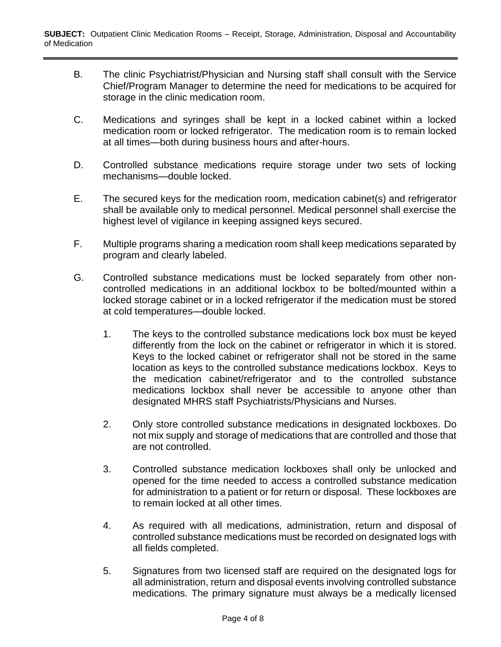- B. The clinic Psychiatrist/Physician and Nursing staff shall consult with the Service Chief/Program Manager to determine the need for medications to be acquired for storage in the clinic medication room.
- C. Medications and syringes shall be kept in a locked cabinet within a locked medication room or locked refrigerator. The medication room is to remain locked at all times—both during business hours and after-hours.
- D. Controlled substance medications require storage under two sets of locking mechanisms—double locked.
- E. The secured keys for the medication room, medication cabinet(s) and refrigerator shall be available only to medical personnel. Medical personnel shall exercise the highest level of vigilance in keeping assigned keys secured.
- F. Multiple programs sharing a medication room shall keep medications separated by program and clearly labeled.
- G. Controlled substance medications must be locked separately from other noncontrolled medications in an additional lockbox to be bolted/mounted within a locked storage cabinet or in a locked refrigerator if the medication must be stored at cold temperatures—double locked.
	- 1. The keys to the controlled substance medications lock box must be keyed differently from the lock on the cabinet or refrigerator in which it is stored. Keys to the locked cabinet or refrigerator shall not be stored in the same location as keys to the controlled substance medications lockbox. Keys to the medication cabinet/refrigerator and to the controlled substance medications lockbox shall never be accessible to anyone other than designated MHRS staff Psychiatrists/Physicians and Nurses.
	- 2. Only store controlled substance medications in designated lockboxes. Do not mix supply and storage of medications that are controlled and those that are not controlled.
	- 3. Controlled substance medication lockboxes shall only be unlocked and opened for the time needed to access a controlled substance medication for administration to a patient or for return or disposal. These lockboxes are to remain locked at all other times.
	- 4. As required with all medications, administration, return and disposal of controlled substance medications must be recorded on designated logs with all fields completed.
	- 5. Signatures from two licensed staff are required on the designated logs for all administration, return and disposal events involving controlled substance medications. The primary signature must always be a medically licensed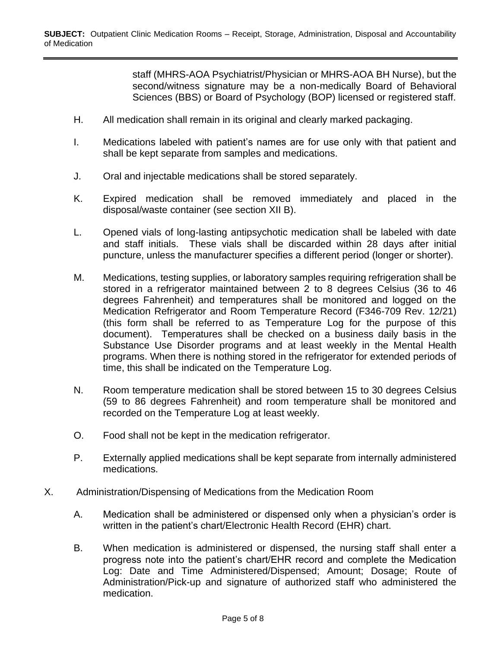staff (MHRS-AOA Psychiatrist/Physician or MHRS-AOA BH Nurse), but the second/witness signature may be a non-medically Board of Behavioral Sciences (BBS) or Board of Psychology (BOP) licensed or registered staff.

- H. All medication shall remain in its original and clearly marked packaging.
- I. Medications labeled with patient's names are for use only with that patient and shall be kept separate from samples and medications.
- J. Oral and injectable medications shall be stored separately.
- K. Expired medication shall be removed immediately and placed in the disposal/waste container (see section XII B).
- L. Opened vials of long-lasting antipsychotic medication shall be labeled with date and staff initials. These vials shall be discarded within 28 days after initial puncture, unless the manufacturer specifies a different period (longer or shorter).
- M. Medications, testing supplies, or laboratory samples requiring refrigeration shall be stored in a refrigerator maintained between 2 to 8 degrees Celsius (36 to 46 degrees Fahrenheit) and temperatures shall be monitored and logged on the Medication Refrigerator and Room Temperature Record (F346-709 Rev. 12/21) (this form shall be referred to as Temperature Log for the purpose of this document). Temperatures shall be checked on a business daily basis in the Substance Use Disorder programs and at least weekly in the Mental Health programs. When there is nothing stored in the refrigerator for extended periods of time, this shall be indicated on the Temperature Log.
- N. Room temperature medication shall be stored between 15 to 30 degrees Celsius (59 to 86 degrees Fahrenheit) and room temperature shall be monitored and recorded on the Temperature Log at least weekly.
- O. Food shall not be kept in the medication refrigerator.
- P. Externally applied medications shall be kept separate from internally administered medications.
- X. Administration/Dispensing of Medications from the Medication Room
	- A. Medication shall be administered or dispensed only when a physician's order is written in the patient's chart/Electronic Health Record (EHR) chart.
	- B. When medication is administered or dispensed, the nursing staff shall enter a progress note into the patient's chart/EHR record and complete the Medication Log: Date and Time Administered/Dispensed; Amount; Dosage; Route of Administration/Pick-up and signature of authorized staff who administered the medication.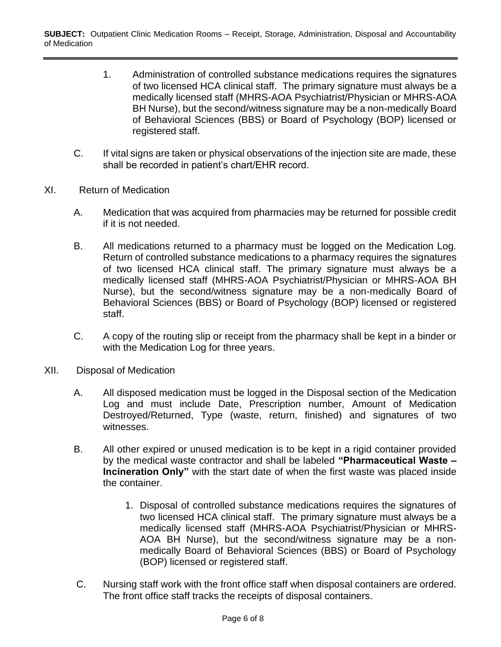- 1. Administration of controlled substance medications requires the signatures of two licensed HCA clinical staff. The primary signature must always be a medically licensed staff (MHRS-AOA Psychiatrist/Physician or MHRS-AOA BH Nurse), but the second/witness signature may be a non-medically Board of Behavioral Sciences (BBS) or Board of Psychology (BOP) licensed or registered staff.
- C. If vital signs are taken or physical observations of the injection site are made, these shall be recorded in patient's chart/EHR record.
- XI. Return of Medication
	- A. Medication that was acquired from pharmacies may be returned for possible credit if it is not needed.
	- B. All medications returned to a pharmacy must be logged on the Medication Log. Return of controlled substance medications to a pharmacy requires the signatures of two licensed HCA clinical staff. The primary signature must always be a medically licensed staff (MHRS-AOA Psychiatrist/Physician or MHRS-AOA BH Nurse), but the second/witness signature may be a non-medically Board of Behavioral Sciences (BBS) or Board of Psychology (BOP) licensed or registered staff.
	- C. A copy of the routing slip or receipt from the pharmacy shall be kept in a binder or with the Medication Log for three years.
- XII. Disposal of Medication
	- A. All disposed medication must be logged in the Disposal section of the Medication Log and must include Date, Prescription number, Amount of Medication Destroyed/Returned, Type (waste, return, finished) and signatures of two witnesses.
	- B. All other expired or unused medication is to be kept in a rigid container provided by the medical waste contractor and shall be labeled **"Pharmaceutical Waste – Incineration Only"** with the start date of when the first waste was placed inside the container.
		- 1. Disposal of controlled substance medications requires the signatures of two licensed HCA clinical staff. The primary signature must always be a medically licensed staff (MHRS-AOA Psychiatrist/Physician or MHRS-AOA BH Nurse), but the second/witness signature may be a nonmedically Board of Behavioral Sciences (BBS) or Board of Psychology (BOP) licensed or registered staff.
	- C. Nursing staff work with the front office staff when disposal containers are ordered. The front office staff tracks the receipts of disposal containers.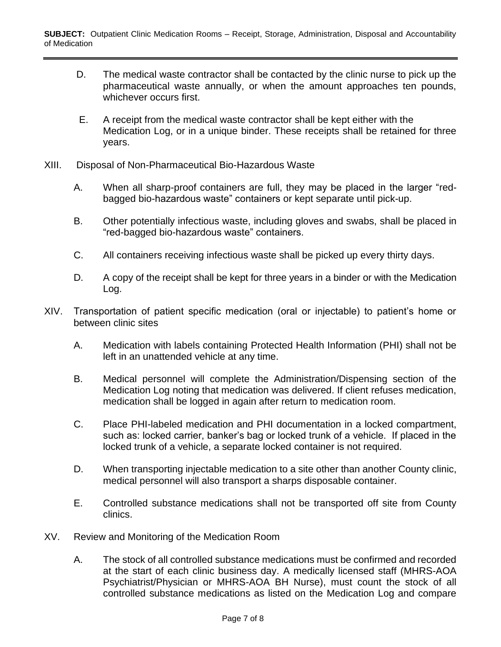- D. The medical waste contractor shall be contacted by the clinic nurse to pick up the pharmaceutical waste annually, or when the amount approaches ten pounds, whichever occurs first.
- E. A receipt from the medical waste contractor shall be kept either with the Medication Log, or in a unique binder. These receipts shall be retained for three years.
- XIII. Disposal of Non-Pharmaceutical Bio-Hazardous Waste
	- A. When all sharp-proof containers are full, they may be placed in the larger "redbagged bio-hazardous waste" containers or kept separate until pick-up.
	- B. Other potentially infectious waste, including gloves and swabs, shall be placed in "red-bagged bio-hazardous waste" containers.
	- C. All containers receiving infectious waste shall be picked up every thirty days.
	- D. A copy of the receipt shall be kept for three years in a binder or with the Medication Log.
- XIV. Transportation of patient specific medication (oral or injectable) to patient's home or between clinic sites
	- A. Medication with labels containing Protected Health Information (PHI) shall not be left in an unattended vehicle at any time.
	- B. Medical personnel will complete the Administration/Dispensing section of the Medication Log noting that medication was delivered. If client refuses medication, medication shall be logged in again after return to medication room.
	- C. Place PHI-labeled medication and PHI documentation in a locked compartment, such as: locked carrier, banker's bag or locked trunk of a vehicle. If placed in the locked trunk of a vehicle, a separate locked container is not required.
	- D. When transporting injectable medication to a site other than another County clinic, medical personnel will also transport a sharps disposable container.
	- E. Controlled substance medications shall not be transported off site from County clinics.
- XV. Review and Monitoring of the Medication Room
	- A. The stock of all controlled substance medications must be confirmed and recorded at the start of each clinic business day. A medically licensed staff (MHRS-AOA Psychiatrist/Physician or MHRS-AOA BH Nurse), must count the stock of all controlled substance medications as listed on the Medication Log and compare